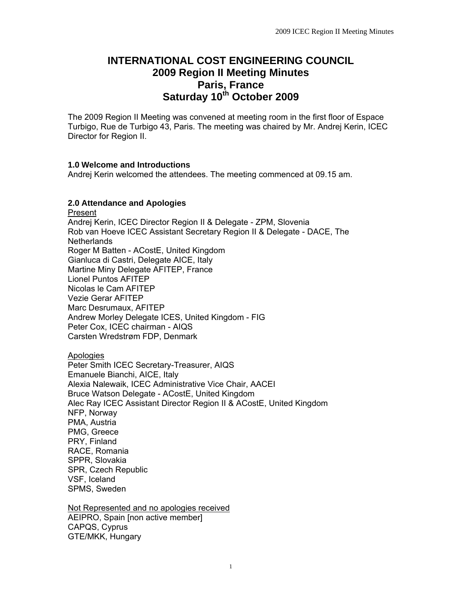# **INTERNATIONAL COST ENGINEERING COUNCIL 2009 Region II Meeting Minutes Paris, France Saturday 10th October 2009**

The 2009 Region II Meeting was convened at meeting room in the first floor of Espace Turbigo, Rue de Turbigo 43, Paris. The meeting was chaired by Mr. Andrej Kerin, ICEC Director for Region II.

# **1.0 Welcome and Introductions**

Andrej Kerin welcomed the attendees. The meeting commenced at 09.15 am.

# **2.0 Attendance and Apologies**

Present Andrej Kerin, ICEC Director Region II & Delegate - ZPM, Slovenia Rob van Hoeve ICEC Assistant Secretary Region II & Delegate - DACE, The **Netherlands** Roger M Batten - ACostE, United Kingdom Gianluca di Castri, Delegate AICE, Italy Martine Miny Delegate AFITEP, France Lionel Puntos AFITEP Nicolas le Cam AFITEP Vezie Gerar AFITEP Marc Desrumaux, AFITEP Andrew Morley Delegate ICES, United Kingdom - FIG Peter Cox, ICEC chairman - AIQS Carsten Wredstrøm FDP, Denmark

Apologies

Peter Smith ICEC Secretary-Treasurer, AIQS Emanuele Bianchi, AICE, Italy Alexia Nalewaik, ICEC Administrative Vice Chair, AACEI Bruce Watson Delegate - ACostE, United Kingdom Alec Ray ICEC Assistant Director Region II & ACostE, United Kingdom NFP, Norway PMA, Austria PMG, Greece PRY, Finland RACE, Romania SPPR, Slovakia SPR, Czech Republic VSF, Iceland SPMS, Sweden

Not Represented and no apologies received AEIPRO, Spain [non active member] CAPQS, Cyprus GTE/MKK, Hungary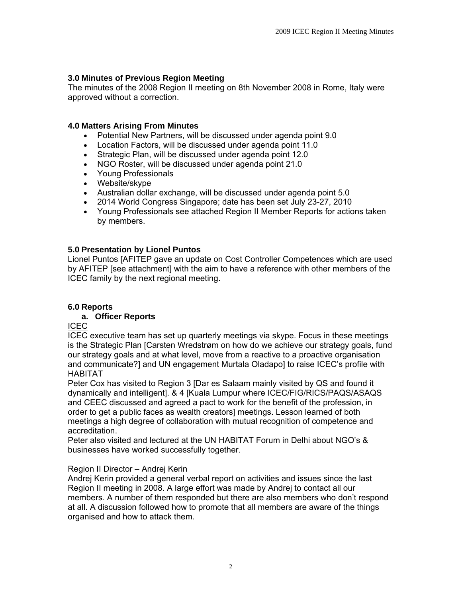# **3.0 Minutes of Previous Region Meeting**

The minutes of the 2008 Region II meeting on 8th November 2008 in Rome, Italy were approved without a correction.

#### **4.0 Matters Arising From Minutes**

- Potential New Partners, will be discussed under agenda point 9.0
- Location Factors, will be discussed under agenda point 11.0
- Strategic Plan, will be discussed under agenda point 12.0
- NGO Roster, will be discussed under agenda point 21.0
- Young Professionals
- Website/skype
- Australian dollar exchange, will be discussed under agenda point 5.0
- 2014 World Congress Singapore; date has been set July 23-27, 2010
- Young Professionals see attached Region II Member Reports for actions taken by members.

#### **5.0 Presentation by Lionel Puntos**

Lionel Puntos [AFITEP gave an update on Cost Controller Competences which are used by AFITEP [see attachment] with the aim to have a reference with other members of the ICEC family by the next regional meeting.

# **6.0 Reports**

#### **a. Officer Reports**

ICEC

ICEC executive team has set up quarterly meetings via skype. Focus in these meetings is the Strategic Plan [Carsten Wredstrøm on how do we achieve our strategy goals, fund our strategy goals and at what level, move from a reactive to a proactive organisation and communicate?] and UN engagement Murtala Oladapo] to raise ICEC's profile with HABITAT

Peter Cox has visited to Region 3 [Dar es Salaam mainly visited by QS and found it dynamically and intelligent]. & 4 [Kuala Lumpur where ICEC/FIG/RICS/PAQS/ASAQS and CEEC discussed and agreed a pact to work for the benefit of the profession, in order to get a public faces as wealth creators] meetings. Lesson learned of both meetings a high degree of collaboration with mutual recognition of competence and accreditation.

Peter also visited and lectured at the UN HABITAT Forum in Delhi about NGO's & businesses have worked successfully together.

# Region II Director – Andrej Kerin

Andrej Kerin provided a general verbal report on activities and issues since the last Region II meeting in 2008. A large effort was made by Andrej to contact all our members. A number of them responded but there are also members who don't respond at all. A discussion followed how to promote that all members are aware of the things organised and how to attack them.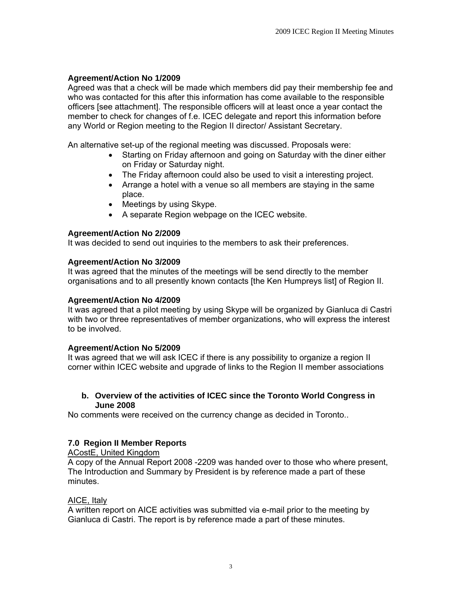# **Agreement/Action No 1/2009**

Agreed was that a check will be made which members did pay their membership fee and who was contacted for this after this information has come available to the responsible officers [see attachment]. The responsible officers will at least once a year contact the member to check for changes of f.e. ICEC delegate and report this information before any World or Region meeting to the Region II director/ Assistant Secretary.

An alternative set-up of the regional meeting was discussed. Proposals were:

- Starting on Friday afternoon and going on Saturday with the diner either on Friday or Saturday night.
- The Friday afternoon could also be used to visit a interesting project.
- Arrange a hotel with a venue so all members are staying in the same place.
- Meetings by using Skype.
- A separate Region webpage on the ICEC website.

#### **Agreement/Action No 2/2009**

It was decided to send out inquiries to the members to ask their preferences.

#### **Agreement/Action No 3/2009**

It was agreed that the minutes of the meetings will be send directly to the member organisations and to all presently known contacts [the Ken Humpreys list] of Region II.

#### **Agreement/Action No 4/2009**

It was agreed that a pilot meeting by using Skype will be organized by Gianluca di Castri with two or three representatives of member organizations, who will express the interest to be involved.

#### **Agreement/Action No 5/2009**

It was agreed that we will ask ICEC if there is any possibility to organize a region II corner within ICEC website and upgrade of links to the Region II member associations

#### **b. Overview of the activities of ICEC since the Toronto World Congress in June 2008**

No comments were received on the currency change as decided in Toronto..

# **7.0 Region II Member Reports**

ACostE, United Kingdom

A copy of the Annual Report 2008 -2209 was handed over to those who where present, The Introduction and Summary by President is by reference made a part of these minutes.

#### AICE, Italy

A written report on AICE activities was submitted via e-mail prior to the meeting by Gianluca di Castri. The report is by reference made a part of these minutes.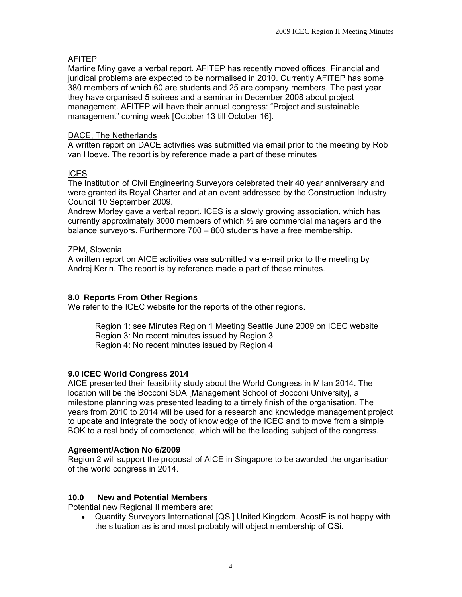# AFITEP

Martine Miny gave a verbal report. AFITEP has recently moved offices. Financial and juridical problems are expected to be normalised in 2010. Currently AFITEP has some 380 members of which 60 are students and 25 are company members. The past year they have organised 5 soirees and a seminar in December 2008 about project management. AFITEP will have their annual congress: "Project and sustainable management" coming week [October 13 till October 16].

### DACE, The Netherlands

A written report on DACE activities was submitted via email prior to the meeting by Rob van Hoeve. The report is by reference made a part of these minutes

#### ICES

The Institution of Civil Engineering Surveyors celebrated their 40 year anniversary and were granted its Royal Charter and at an event addressed by the Construction Industry Council 10 September 2009.

Andrew Morley gave a verbal report. ICES is a slowly growing association, which has currently approximately 3000 members of which ⅔ are commercial managers and the balance surveyors. Furthermore 700 – 800 students have a free membership.

# ZPM, Slovenia

A written report on AICE activities was submitted via e-mail prior to the meeting by Andrej Kerin. The report is by reference made a part of these minutes.

#### **8.0 Reports From Other Regions**

We refer to the ICEC website for the reports of the other regions.

Region 1: see Minutes Region 1 Meeting Seattle June 2009 on ICEC website Region 3: No recent minutes issued by Region 3 Region 4: No recent minutes issued by Region 4

# **9.0 ICEC World Congress 2014**

AICE presented their feasibility study about the World Congress in Milan 2014. The location will be the Bocconi SDA [Management School of Bocconi University], a milestone planning was presented leading to a timely finish of the organisation. The years from 2010 to 2014 will be used for a research and knowledge management project to update and integrate the body of knowledge of the ICEC and to move from a simple BOK to a real body of competence, which will be the leading subject of the congress.

#### **Agreement/Action No 6/2009**

Region 2 will support the proposal of AICE in Singapore to be awarded the organisation of the world congress in 2014.

#### **10.0 New and Potential Members**

Potential new Regional II members are:

• Quantity Surveyors International [QSi] United Kingdom. AcostE is not happy with the situation as is and most probably will object membership of QSi.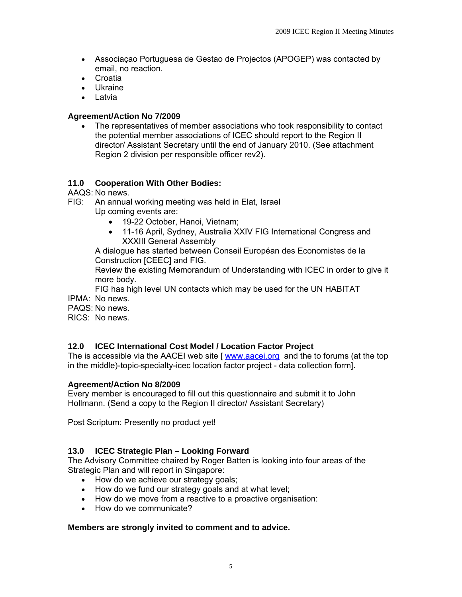- Associaçao Portuguesa de Gestao de Projectos (APOGEP) was contacted by email, no reaction.
- Croatia
- Ukraine
- Latvia

#### **Agreement/Action No 7/2009**

• The representatives of member associations who took responsibility to contact the potential member associations of ICEC should report to the Region II director/ Assistant Secretary until the end of January 2010. (See attachment Region 2 division per responsible officer rev2).

#### **11.0 Cooperation With Other Bodies:**

AAQS: No news.

- FIG: An annual working meeting was held in Elat, Israel
	- Up coming events are:
		- 19-22 October, Hanoi, Vietnam;
		- 11-16 April, Sydney, Australia XXIV FIG International Congress and XXXIII General Assembly

A dialogue has started between Conseil Européan des Economistes de la Construction [CEEC] and FIG.

Review the existing Memorandum of Understanding with ICEC in order to give it more body.

FIG has high level UN contacts which may be used for the UN HABITAT IPMA: No news.

PAQS: No news.

RICS: No news.

# **12.0 ICEC International Cost Model / Location Factor Project**

The is accessible via the AACEI web site [ [www.aacei.org](http://www.aacei.org/) [and the to forums \(at the top](http://www.aacei.org/forums%20%20%20and%20the%20to%20topic-specialty-icec%20location%20factor%20project)  [in the middle\)-topic-specialty-icec location factor project](http://www.aacei.org/forums%20%20%20and%20the%20to%20topic-specialty-icec%20location%20factor%20project) - data collection form].

#### **Agreement/Action No 8/2009**

Every member is encouraged to fill out this questionnaire and submit it to John Hollmann. (Send a copy to the Region II director/ Assistant Secretary)

Post Scriptum: Presently no product yet!

# **13.0 ICEC Strategic Plan – Looking Forward**

The Advisory Committee chaired by Roger Batten is looking into four areas of the Strategic Plan and will report in Singapore:

- How do we achieve our strategy goals;
- How do we fund our strategy goals and at what level;
- How do we move from a reactive to a proactive organisation:
- How do we communicate?

#### **Members are strongly invited to comment and to advice.**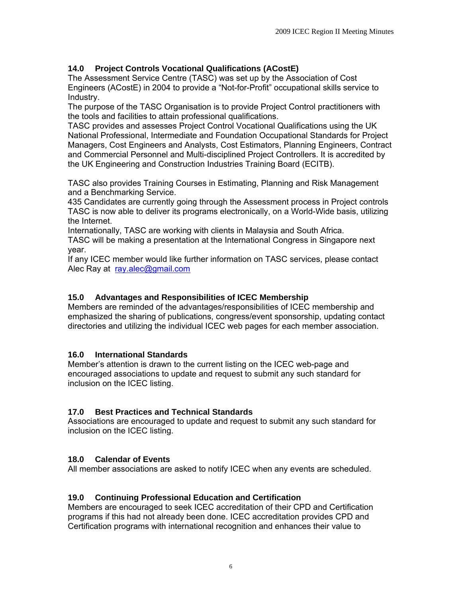# **14.0 Project Controls Vocational Qualifications (ACostE)**

The Assessment Service Centre (TASC) was set up by the Association of Cost Engineers (ACostE) in 2004 to provide a "Not-for-Profit" occupational skills service to Industry.

The purpose of the TASC Organisation is to provide Project Control practitioners with the tools and facilities to attain professional qualifications.

TASC provides and assesses Project Control Vocational Qualifications using the UK National Professional, Intermediate and Foundation Occupational Standards for Project Managers, Cost Engineers and Analysts, Cost Estimators, Planning Engineers, Contract and Commercial Personnel and Multi-disciplined Project Controllers. It is accredited by the UK Engineering and Construction Industries Training Board (ECITB).

TASC also provides Training Courses in Estimating, Planning and Risk Management and a Benchmarking Service.

435 Candidates are currently going through the Assessment process in Project controls TASC is now able to deliver its programs electronically, on a World-Wide basis, utilizing the Internet.

Internationally, TASC are working with clients in Malaysia and South Africa.

TASC will be making a presentation at the International Congress in Singapore next year.

If any ICEC member would like further information on TASC services, please contact Alec Ray at [ray.alec@gmail.com](mailto:ray.alec@gmail.com)

# **15.0 Advantages and Responsibilities of ICEC Membership**

Members are reminded of the advantages/responsibilities of ICEC membership and emphasized the sharing of publications, congress/event sponsorship, updating contact directories and utilizing the individual ICEC web pages for each member association.

# **16.0 International Standards**

Member's attention is drawn to the current listing on the ICEC web-page and encouraged associations to update and request to submit any such standard for inclusion on the ICEC listing.

# **17.0 Best Practices and Technical Standards**

Associations are encouraged to update and request to submit any such standard for inclusion on the ICEC listing.

# **18.0 Calendar of Events**

All member associations are asked to notify ICEC when any events are scheduled.

# **19.0 Continuing Professional Education and Certification**

Members are encouraged to seek ICEC accreditation of their CPD and Certification programs if this had not already been done. ICEC accreditation provides CPD and Certification programs with international recognition and enhances their value to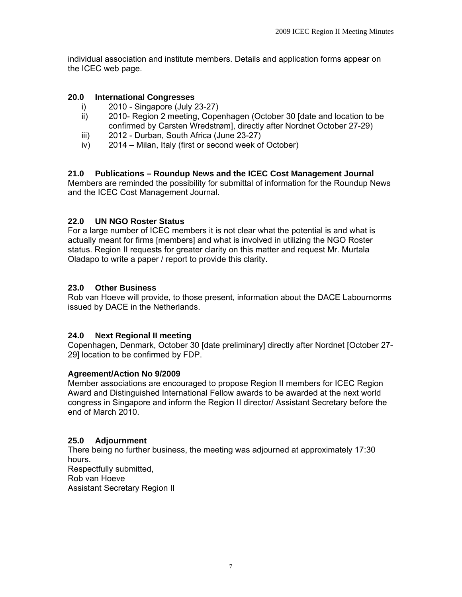individual association and institute members. Details and application forms appear on the ICEC web page.

# **20.0 International Congresses**

- i) 2010 Singapore (July 23-27)
- ii) 2010- Region 2 meeting, Copenhagen (October 30 [date and location to be confirmed by Carsten Wredstrøm], directly after Nordnet October 27-29)
- iii) 2012 Durban, South Africa (June 23-27)
- iv) 2014 Milan, Italy (first or second week of October)

# **21.0 Publications – Roundup News and the ICEC Cost Management Journal**

Members are reminded the possibility for submittal of information for the Roundup News and the ICEC Cost Management Journal.

# **22.0 UN NGO Roster Status**

For a large number of ICEC members it is not clear what the potential is and what is actually meant for firms [members] and what is involved in utilizing the NGO Roster status. Region II requests for greater clarity on this matter and request Mr. Murtala Oladapo to write a paper / report to provide this clarity.

# **23.0 Other Business**

Rob van Hoeve will provide, to those present, information about the DACE Labournorms issued by DACE in the Netherlands.

# **24.0 Next Regional II meeting**

Copenhagen, Denmark, October 30 [date preliminary] directly after Nordnet [October 27- 29] location to be confirmed by FDP.

# **Agreement/Action No 9/2009**

Member associations are encouraged to propose Region II members for ICEC Region Award and Distinguished International Fellow awards to be awarded at the next world congress in Singapore and inform the Region II director/ Assistant Secretary before the end of March 2010.

# **25.0 Adjournment**

There being no further business, the meeting was adjourned at approximately 17:30 hours. Respectfully submitted,

Rob van Hoeve

Assistant Secretary Region II